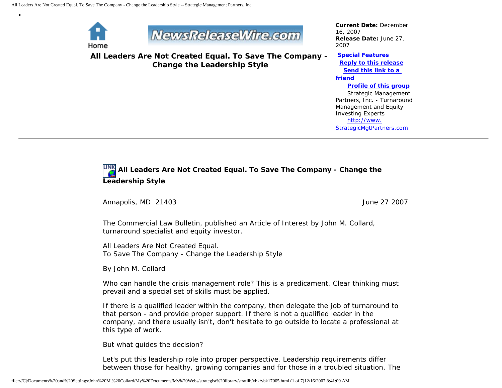

•



**All Leaders Are Not Created Equal. To Save The Company - Change the Leadership Style**

*Current Date:* December 16, 2007 *Release Date:* June 27, 2007

**[Special Features](javascript:openlittleme() [Reply to this release](file:///C|/Documents%20and%20Settings/John%20M.%20Collard/My%20Documents/My%20Webs/strategist%20library/stratlib/ybk/default.cfm?Action=ReplyRelease&Id=17005) [Send this link to a](file:///C|/Documents%20and%20Settings/John%20M.%20Collard/My%20Documents/My%20Webs/strategist%20library/stratlib/ybk/default.cfm?Action=SendLink&SendId=17005)  [friend](file:///C|/Documents%20and%20Settings/John%20M.%20Collard/My%20Documents/My%20Webs/strategist%20library/stratlib/ybk/default.cfm?Action=SendLink&SendId=17005) [Profile of this group](file:///C|/Documents%20and%20Settings/John%20M.%20Collard/My%20Documents/My%20Webs/strategist%20library/stratlib/ybk/default.cfm?Action=Profile&ProfileId=623)** Strategic Management Partners, Inc. - Turnaround Management and Equity Investing Experts [http://www.](http://www.strategicmgtpartners.com/)

[StrategicMgtPartners.com](http://www.strategicmgtpartners.com/)

## **All Leaders Are Not Created Equal. To Save The Company - Change the Leadership Style**

Annapolis, MD 21403 **June 27 2007** 

The Commercial Law Bulletin, published an Article of Interest by John M. Collard, turnaround specialist and equity investor.

All Leaders Are Not Created Equal. To Save The Company - Change the Leadership Style

By John M. Collard

Who can handle the crisis management role? This is a predicament. Clear thinking must prevail and a special set of skills must be applied.

If there is a qualified leader within the company, then delegate the job of turnaround to that person - and provide proper support. If there is not a qualified leader in the company, and there usually isn't, don't hesitate to go outside to locate a professional at this type of work.

But what guides the decision?

Let's put this leadership role into proper perspective. Leadership requirements differ between those for healthy, growing companies and for those in a troubled situation. The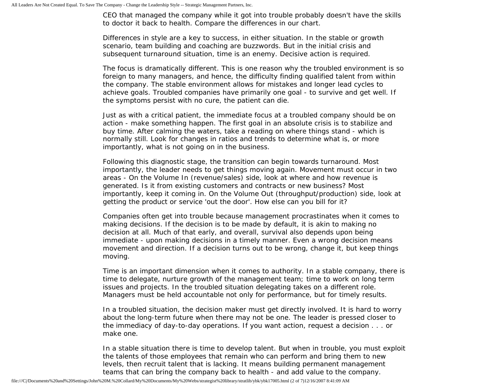CEO that managed the company while it got into trouble probably doesn't have the skills to doctor it back to health. Compare the differences in our chart.

Differences in style are a key to success, in either situation. In the stable or growth scenario, team building and coaching are buzzwords. But in the initial crisis and subsequent turnaround situation, time is an enemy. Decisive action is required.

The focus is dramatically different. This is one reason why the troubled environment is so foreign to many managers, and hence, the difficulty finding qualified talent from within the company. The stable environment allows for mistakes and longer lead cycles to achieve goals. Troubled companies have primarily one goal - to survive and get well. If the symptoms persist with no cure, the patient can die.

Just as with a critical patient, the immediate focus at a troubled company should be on action - make something happen. The first goal in an absolute crisis is to stabilize and buy time. After calming the waters, take a reading on where things stand - which is normally still. Look for changes in ratios and trends to determine what is, or more importantly, what is not going on in the business.

Following this diagnostic stage, the transition can begin towards turnaround. Most importantly, the leader needs to get things moving again. Movement must occur in two areas - On the Volume In (revenue/sales) side, look at where and how revenue is generated. Is it from existing customers and contracts or new business? Most importantly, keep it coming in. On the Volume Out (throughput/production) side, look at getting the product or service 'out the door'. How else can you bill for it?

Companies often get into trouble because management procrastinates when it comes to making decisions. If the decision is to be made by default, it is akin to making no decision at all. Much of that early, and overall, survival also depends upon being immediate - upon making decisions in a timely manner. Even a wrong decision means movement and direction. If a decision turns out to be wrong, change it, but keep things moving.

Time is an important dimension when it comes to authority. In a stable company, there is time to delegate, nurture growth of the management team; time to work on long term issues and projects. In the troubled situation delegating takes on a different role. Managers must be held accountable not only for performance, but for timely results.

In a troubled situation, the decision maker must get directly involved. It is hard to worry about the long-term future when there may not be one. The leader is pressed closer to the immediacy of day-to-day operations. If you want action, request a decision . . . or make one.

In a stable situation there is time to develop talent. But when in trouble, you must exploit the talents of those employees that remain who can perform and bring them to new levels, then recruit talent that is lacking. It means building permanent management teams that can bring the company back to health - and add value to the company.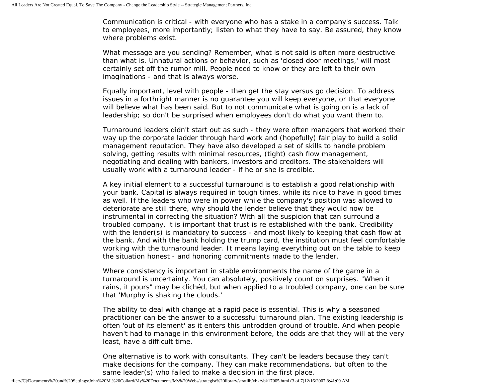Communication is critical - with everyone who has a stake in a company's success. Talk to employees, more importantly; listen to what they have to say. Be assured, they know where problems exist.

What message are you sending? Remember, what is not said is often more destructive than what is. Unnatural actions or behavior, such as 'closed door meetings,' will most certainly set off the rumor mill. People need to know or they are left to their own imaginations - and that is always worse.

Equally important, level with people - then get the stay versus go decision. To address issues in a forthright manner is no guarantee you will keep everyone, or that everyone will believe what has been said. But to not communicate what is going on is a lack of leadership; so don't be surprised when employees don't do what you want them to.

Turnaround leaders didn't start out as such - they were often managers that worked their way up the corporate ladder through hard work and (hopefully) fair play to build a solid management reputation. They have also developed a set of skills to handle problem solving, getting results with minimal resources, (tight) cash flow management, negotiating and dealing with bankers, investors and creditors. The stakeholders will usually work with a turnaround leader - if he or she is credible.

A key initial element to a successful turnaround is to establish a good relationship with your bank. Capital is always required in tough times, while its nice to have in good times as well. If the leaders who were in power while the company's position was allowed to deteriorate are still there, why should the lender believe that they would now be instrumental in correcting the situation? With all the suspicion that can surround a troubled company, it is important that trust is re established with the bank. Credibility with the lender(s) is mandatory to success - and most likely to keeping that cash flow at the bank. And with the bank holding the trump card, the institution must feel comfortable working with the turnaround leader. It means laying everything out on the table to keep the situation honest - and honoring commitments made to the lender.

Where consistency is important in stable environments the name of the game in a turnaround is uncertainty. You can absolutely, positively count on surprises. "When it rains, it pours" may be clichéd, but when applied to a troubled company, one can be sure that 'Murphy is shaking the clouds.'

The ability to deal with change at a rapid pace is essential. This is why a seasoned practitioner can be the answer to a successful turnaround plan. The existing leadership is often 'out of its element' as it enters this untrodden ground of trouble. And when people haven't had to manage in this environment before, the odds are that they will at the very least, have a difficult time.

One alternative is to work with consultants. They can't be leaders because they can't make decisions for the company. They can make recommendations, but often to the same leader(s) who failed to make a decision in the first place.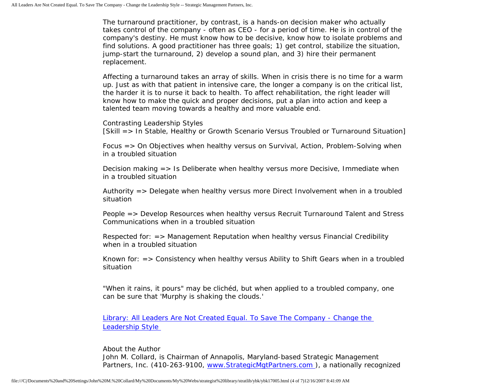The turnaround practitioner, by contrast, is a hands-on decision maker who actually takes control of the company - often as CEO - for a period of time. He is in control of the company's destiny. He must know how to be decisive, know how to isolate problems and find solutions. A good practitioner has three goals; 1) get control, stabilize the situation, jump-start the turnaround, 2) develop a sound plan, and 3) hire their permanent replacement.

Affecting a turnaround takes an array of skills. When in crisis there is no time for a warm up. Just as with that patient in intensive care, the longer a company is on the critical list, the harder it is to nurse it back to health. To affect rehabilitation, the right leader will know how to make the quick and proper decisions, put a plan into action and keep a talented team moving towards a healthy and more valuable end.

Contrasting Leadership Styles [Skill => In Stable, Healthy or Growth Scenario Versus Troubled or Turnaround Situation]

Focus => On Objectives when healthy versus on Survival, Action, Problem-Solving when in a troubled situation

Decision making => Is Deliberate when healthy versus more Decisive, Immediate when in a troubled situation

Authority => Delegate when healthy versus more Direct Involvement when in a troubled situation

People => Develop Resources when healthy versus Recruit Turnaround Talent and Stress Communications when in a troubled situation

Respected for: => Management Reputation when healthy versus Financial Credibility when in a troubled situation

Known for: => Consistency when healthy versus Ability to Shift Gears when in a troubled situation

"When it rains, it pours" may be clichéd, but when applied to a troubled company, one can be sure that 'Murphy is shaking the clouds.'

[Library: All Leaders Are Not Created Equal. To Save The Company - Change the](http://members.aol.com/stratlib2/clbldr.html) [Leadership Style](http://members.aol.com/stratlib2/clbldr.html)

About the Author John M. Collard, is Chairman of Annapolis, Maryland-based Strategic Management Partners, Inc. (410-263-9100, [www.StrategicMgtPartners.com](http://www.strategicmgtpartners.com/) ), a nationally recognized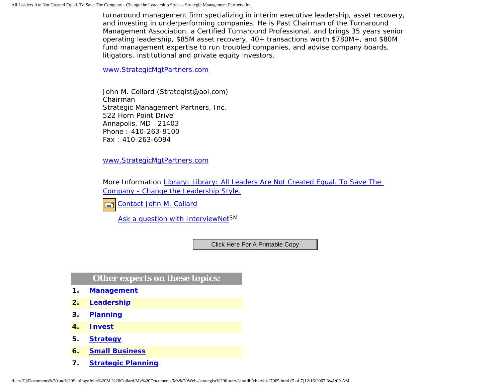turnaround management firm specializing in interim executive leadership, asset recovery, and investing in underperforming companies. He is Past Chairman of the Turnaround Management Association, a Certified Turnaround Professional, and brings 35 years senior operating leadership, \$85M asset recovery, 40+ transactions worth \$780M+, and \$80M fund management expertise to run troubled companies, and advise company boards, litigators, institutional and private equity investors.

[www.StrategicMgtPartners.com](http://www.strategicmgtpartners.com/)

John M. Collard (Strategist@aol.com) Chairman Strategic Management Partners, Inc. 522 Horn Point Drive Annapolis, MD 21403 Phone : 410-263-9100 Fax : 410-263-6094

[www.StrategicMgtPartners.com](http://www.strategicmgtpartners.com/)

More Information [Library: Library: All Leaders Are Not Created Equal. To Save The](http://members.aol.com/stratlib2/clbldr.html) [Company - Change the Leadership Style.](http://members.aol.com/stratlib2/clbldr.html)



[Ask a question with InterviewNetS](http://www.expertclick.com/expertClick/contact/default.cfm?GroupID=1016)M

## **Other experts on these topics:**

- **1. [Management](http://www.expertclick.com/search/default.cfm?SearchCriteria=Management)**
- **2. [Leadership](http://www.expertclick.com/search/default.cfm?SearchCriteria=Leadership)**
- **3. [Planning](http://www.expertclick.com/search/default.cfm?SearchCriteria=Planning)**
- **4. [Invest](http://www.expertclick.com/search/default.cfm?SearchCriteria=Invest)**
- **5. [Strategy](http://www.expertclick.com/search/default.cfm?SearchCriteria=Strategy)**
- **6. [Small Business](http://www.expertclick.com/search/default.cfm?SearchCriteria=Small Business)**
- **7. [Strategic Planning](http://www.expertclick.com/search/default.cfm?SearchCriteria=Strategic Planning)**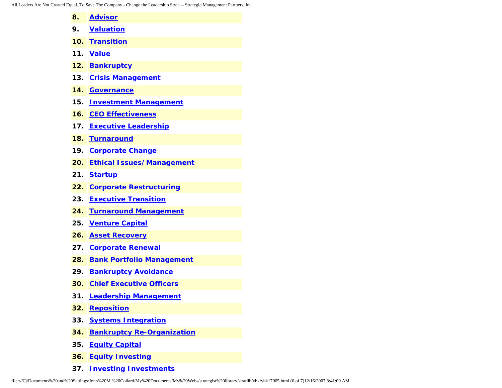All Leaders Are Not Created Equal. To Save The Company - Change the Leadership Style -- Strategic Management Partners, Inc.

| 8.  | <b>Advisor</b>                    |
|-----|-----------------------------------|
| 9.  | <b>Valuation</b>                  |
| 10. | <b>Transition</b>                 |
| 11. | <b>Value</b>                      |
| 12. | <b>Bankruptcy</b>                 |
| 13. | <b>Crisis Management</b>          |
| 14. | <b>Governance</b>                 |
| 15. | <b>Investment Management</b>      |
| 16. | <b>CEO Effectiveness</b>          |
| 17. | <b>Executive Leadership</b>       |
| 18. | <b>Turnaround</b>                 |
| 19. | <b>Corporate Change</b>           |
| 20. | <b>Ethical Issues/Management</b>  |
| 21. | <b>Startup</b>                    |
| 22. | <b>Corporate Restructuring</b>    |
| 23. | <b>Executive Transition</b>       |
| 24. | <b>Turnaround Management</b>      |
| 25. | <b>Venture Capital</b>            |
| 26. | <b>Asset Recovery</b>             |
| 27. | <b>Corporate Renewal</b>          |
| 28. | <b>Bank Portfolio Management</b>  |
| 29. | <b>Bankruptcy Avoidance</b>       |
| 30. | <b>Chief Executive Officers</b>   |
| 31. | <b>Leadership Management</b>      |
| 32. | <b>Reposition</b>                 |
| 33. | <b>Systems Integration</b>        |
| 34. | <b>Bankruptcy Re-Organization</b> |
| 35. | <b>Equity Capital</b>             |
| 36. | <b>Equity Investing</b>           |

**37. [Investing Investments](http://www.expertclick.com/search/default.cfm?SearchCriteria=Investing Investments)**